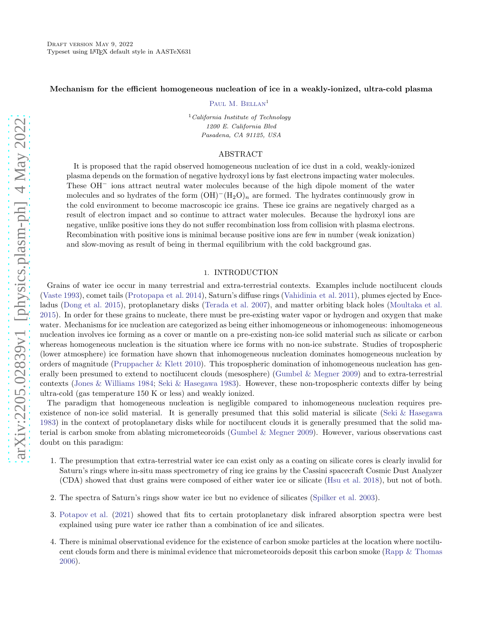#### Mechanism for the efficient homogeneous nucleation of ice in a weakly-ionized, ultra-cold plasma

PAUL M. BELLAN<sup>1</sup>

 $1$  California Institute of Technology 1200 E. California Blvd Pasadena, CA 91125, USA

### ABSTRACT

It is proposed that the rapid observed homogeneous nucleation of ice dust in a cold, weakly-ionized plasma depends on the formation of negative hydroxyl ions by fast electrons impacting water molecules. These OH<sup>−</sup> ions attract neutral water molecules because of the high dipole moment of the water molecules and so hydrates of the form  $(OH)^-(H_2O)_n$  are formed. The hydrates continuously grow in the cold environment to become macroscopic ice grains. These ice grains are negatively charged as a result of electron impact and so continue to attract water molecules. Because the hydroxyl ions are negative, unlike positive ions they do not suffer recombination loss from collision with plasma electrons. Recombination with positive ions is minimal because positive ions are few in number (weak ionization) and slow-moving as result of being in thermal equilibrium with the cold background gas.

### 1. INTRODUCTION

Grains of water ice occur in many terrestrial and extra-terrestrial contexts. Examples include noctilucent clouds [\(Vaste 1993\)](#page-8-0), comet tails [\(Protopapa et al. 2014\)](#page-7-0), Saturn's diffuse rings [\(Vahidinia et al. 2011](#page-8-1)), plumes ejected by Enceladus [\(Dong et al. 2015](#page-7-1)), protoplanetary disks [\(Terada et al. 2007\)](#page-8-2), and matter orbiting black holes [\(Moultaka et al.](#page-7-2) [2015\)](#page-7-2). In order for these grains to nucleate, there must be pre-existing water vapor or hydrogen and oxygen that make water. Mechanisms for ice nucleation are categorized as being either inhomogeneous or inhomogeneous: inhomogeneous nucleation involves ice forming as a cover or mantle on a pre-existing non-ice solid material such as silicate or carbon whereas homogeneous nucleation is the situation where ice forms with no non-ice substrate. Studies of tropospheric (lower atmosphere) ice formation have shown that inhomogeneous nucleation dominates homogeneous nucleation by orders of magnitude [\(Pruppacher & Klett 2010](#page-8-3)). This tropospheric domination of inhomogeneous nucleation has generally been presumed to extend to noctilucent clouds (mesosphere) [\(Gumbel & Megner 2009\)](#page-7-3) and to extra-terrestrial contexts [\(Jones & Williams 1984;](#page-7-4) [Seki & Hasegawa 1983\)](#page-8-4). However, these non-tropospheric contexts differ by being ultra-cold (gas temperature 150 K or less) and weakly ionized.

The paradigm that homogeneous nucleation is negligible compared to inhomogeneous nucleation requires preexistence of non-ice solid material. It is generally presumed that this solid material is silicate [\(Seki & Hasegawa](#page-8-4) [1983\)](#page-8-4) in the context of protoplanetary disks while for noctilucent clouds it is generally presumed that the solid material is carbon smoke from ablating micrometeoroids [\(Gumbel & Megner 2009\)](#page-7-3). However, various observations cast doubt on this paradigm:

- 1. The presumption that extra-terrestrial water ice can exist only as a coating on silicate cores is clearly invalid for Saturn's rings where in-situ mass spectrometry of ring ice grains by the Cassini spacecraft Cosmic Dust Analyzer (CDA) showed that dust grains were composed of either water ice or silicate [\(Hsu et al. 2018\)](#page-7-5), but not of both.
- 2. The spectra of Saturn's rings show water ice but no evidence of silicates [\(Spilker et al. 2003\)](#page-8-5).
- 3. [Potapov et al.](#page-7-6) [\(2021\)](#page-7-6) showed that fits to certain protoplanetary disk infrared absorption spectra were best explained using pure water ice rather than a combination of ice and silicates.
- 4. There is minimal observational evidence for the existence of carbon smoke particles at the location where noctilucent clouds form and there is minimal evidence that micrometeoroids deposit this carbon smoke [\(Rapp & Thomas](#page-8-6) [2006\)](#page-8-6).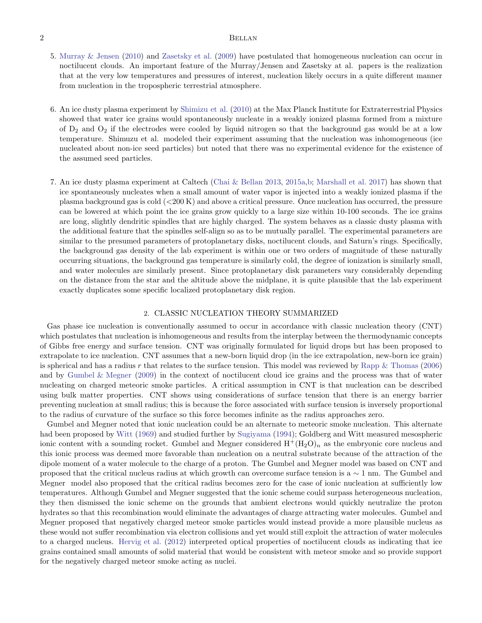# 2 BELLAN

- 5. [Murray & Jensen](#page-7-7) [\(2010\)](#page-7-7) and [Zasetsky et al.](#page-8-7) [\(2009\)](#page-8-7) have postulated that homogeneous nucleation can occur in noctilucent clouds. An important feature of the Murray/Jensen and Zasetsky at al. papers is the realization that at the very low temperatures and pressures of interest, nucleation likely occurs in a quite different manner from nucleation in the tropospheric terrestrial atmosphere.
- 6. An ice dusty plasma experiment by [Shimizu et al.](#page-8-8) [\(2010](#page-8-8)) at the Max Planck Institute for Extraterrestrial Physics showed that water ice grains would spontaneously nucleate in a weakly ionized plasma formed from a mixture of  $D_2$  and  $O_2$  if the electrodes were cooled by liquid nitrogen so that the background gas would be at a low temperature. Shimuzu et al. modeled their experiment assuming that the nucleation was inhomogeneous (ice nucleated about non-ice seed particles) but noted that there was no experimental evidence for the existence of the assumed seed particles.
- 7. An ice dusty plasma experiment at Caltech [\(Chai & Bellan 2013,](#page-7-8) [2015a](#page-7-9)[,b](#page-7-10); [Marshall et al. 2017\)](#page-7-11) has shown that ice spontaneously nucleates when a small amount of water vapor is injected into a weakly ionized plasma if the plasma background gas is cold (<200 K) and above a critical pressure. Once nucleation has occurred, the pressure can be lowered at which point the ice grains grow quickly to a large size within 10-100 seconds. The ice grains are long, slightly dendritic spindles that are highly charged. The system behaves as a classic dusty plasma with the additional feature that the spindles self-align so as to be mutually parallel. The experimental parameters are similar to the presumed parameters of protoplanetary disks, noctilucent clouds, and Saturn's rings. Specifically, the background gas density of the lab experiment is within one or two orders of magnitude of these naturally occurring situations, the background gas temperature is similarly cold, the degree of ionization is similarly small, and water molecules are similarly present. Since protoplanetary disk parameters vary considerably depending on the distance from the star and the altitude above the midplane, it is quite plausible that the lab experiment exactly duplicates some specific localized protoplanetary disk region.

#### 2. CLASSIC NUCLEATION THEORY SUMMARIZED

Gas phase ice nucleation is conventionally assumed to occur in accordance with classic nucleation theory (CNT) which postulates that nucleation is inhomogeneous and results from the interplay between the thermodynamic concepts of Gibbs free energy and surface tension. CNT was originally formulated for liquid drops but has been proposed to extrapolate to ice nucleation. CNT assumes that a new-born liquid drop (in the ice extrapolation, new-born ice grain) is spherical and has a radius r that relates to the surface tension. This model was reviewed by Rapp  $\&$  Thomas [\(2006](#page-8-6)) and by [Gumbel & Megner](#page-7-3) [\(2009](#page-7-3)) in the context of noctilucent cloud ice grains and the process was that of water nucleating on charged meteoric smoke particles. A critical assumption in CNT is that nucleation can be described using bulk matter properties. CNT shows using considerations of surface tension that there is an energy barrier preventing nucleation at small radius; this is because the force associated with surface tension is inversely proportional to the radius of curvature of the surface so this force becomes infinite as the radius approaches zero.

Gumbel and Megner noted that ionic nucleation could be an alternate to meteoric smoke nucleation. This alternate had been proposed by [Witt](#page-8-9) [\(1969\)](#page-8-9) and studied further by [Sugiyama](#page-8-10) [\(1994\)](#page-8-10); Goldberg and Witt measured mesospheric ionic content with a sounding rocket. Gumbel and Megner considered  $H^+(H_2O)_n$  as the embryonic core nucleus and this ionic process was deemed more favorable than nucleation on a neutral substrate because of the attraction of the dipole moment of a water molecule to the charge of a proton. The Gumbel and Megner model was based on CNT and proposed that the critical nucleus radius at which growth can overcome surface tension is a  $\sim 1$  nm. The Gumbel and Megner model also proposed that the critical radius becomes zero for the case of ionic nucleation at sufficiently low temperatures. Although Gumbel and Megner suggested that the ionic scheme could surpass heterogeneous nucleation, they then dismissed the ionic scheme on the grounds that ambient electrons would quickly neutralize the proton hydrates so that this recombination would eliminate the advantages of charge attracting water molecules. Gumbel and Megner proposed that negatively charged meteor smoke particles would instead provide a more plausible nucleus as these would not suffer recombination via electron collisions and yet would still exploit the attraction of water molecules to a charged nucleus. [Hervig et al.](#page-7-12) [\(2012\)](#page-7-12) interpreted optical properties of noctilucent clouds as indicating that ice grains contained small amounts of solid material that would be consistent with meteor smoke and so provide support for the negatively charged meteor smoke acting as nuclei.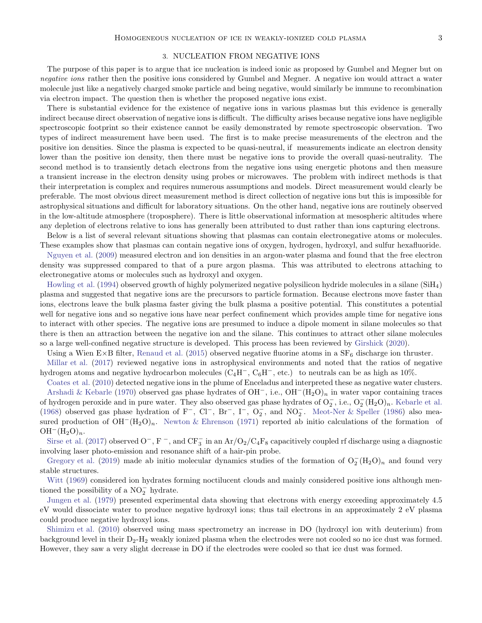#### 3. NUCLEATION FROM NEGATIVE IONS

The purpose of this paper is to argue that ice nucleation is indeed ionic as proposed by Gumbel and Megner but on negative ions rather then the positive ions considered by Gumbel and Megner. A negative ion would attract a water molecule just like a negatively charged smoke particle and being negative, would similarly be immune to recombination via electron impact. The question then is whether the proposed negative ions exist.

There is substantial evidence for the existence of negative ions in various plasmas but this evidence is generally indirect because direct observation of negative ions is difficult. The difficulty arises because negative ions have negligible spectroscopic footprint so their existence cannot be easily demonstrated by remote spectroscopic observation. Two types of indirect measurement have been used. The first is to make precise measurements of the electron and the positive ion densities. Since the plasma is expected to be quasi-neutral, if measurements indicate an electron density lower than the positive ion density, then there must be negative ions to provide the overall quasi-neutrality. The second method is to transiently detach electrons from the negative ions using energetic photons and then measure a transient increase in the electron density using probes or microwaves. The problem with indirect methods is that their interpretation is complex and requires numerous assumptions and models. Direct measurement would clearly be preferable. The most obvious direct measurement method is direct collection of negative ions but this is impossible for astrophysical situations and difficult for laboratory situations. On the other hand, negative ions are routinely observed in the low-altitude atmosphere (troposphere). There is little observational information at mesospheric altitudes where any depletion of electrons relative to ions has generally been attributed to dust rather than ions capturing electrons.

Below is a list of several relevant situations showing that plasmas can contain electronegative atoms or molecules. These examples show that plasmas can contain negative ions of oxygen, hydrogen, hydroxyl, and sulfur hexafluoride.

[Nguyen et al.](#page-7-13) [\(2009](#page-7-13)) measured electron and ion densities in an argon-water plasma and found that the free electron density was suppressed compared to that of a pure argon plasma. This was attributed to electrons attaching to electronegative atoms or molecules such as hydroxyl and oxygen.

[Howling et al.](#page-7-14) [\(1994](#page-7-14)) observed growth of highly polymerized negative polysilicon hydride molecules in a silane (SiH4) plasma and suggested that negative ions are the precursors to particle formation. Because electrons move faster than ions, electrons leave the bulk plasma faster giving the bulk plasma a positive potential. This constitutes a potential well for negative ions and so negative ions have near perfect confinement which provides ample time for negative ions to interact with other species. The negative ions are presumed to induce a dipole moment in silane molecules so that there is then an attraction between the negative ion and the silane. This continues to attract other silane molecules so a large well-confined negative structure is developed. This process has been reviewed by [Girshick](#page-7-15) [\(2020](#page-7-15)).

Using a Wien E×B filter, [Renaud et al.](#page-8-11) [\(2015\)](#page-8-11) observed negative fluorine atoms in a  $SF<sub>6</sub>$  discharge ion thruster.

[Millar et al.](#page-7-16) [\(2017](#page-7-16)) reviewed negative ions in astrophysical environments and noted that the ratios of negative hydrogen atoms and negative hydrocarbon molecules (C4H<sup>−</sup>, C6H<sup>−</sup>, etc.) to neutrals can be as high as 10%.

[Coates et al.](#page-7-17) [\(2010\)](#page-7-17) detected negative ions in the plume of Enceladus and interpreted these as negative water clusters. [Arshadi & Kebarle](#page-7-18) [\(1970\)](#page-7-18) observed gas phase hydrates of OH<sup>−</sup>, i.e., OH<sup>−</sup>(H2O)<sup>n</sup> in water vapor containing traces of hydrogen peroxide and in pure water. They also observed gas phase hydrates of  $O_2^-$ , i.e.,  $O_2^-(H_2O)_n$ . [Kebarle et al.](#page-7-19) [\(1968\)](#page-7-19) observed gas phase hydration of F<sup>-</sup>, Cl<sup>-</sup>, Br<sup>-</sup>, I<sup>-</sup>, O<sub>2</sub>, and NO<sub>2</sub>. [Meot-Ner & Speller](#page-7-20) [\(1986](#page-7-20)) also measured production of  $OH^{-}(H_{2}O)_{n}$ . [Newton & Ehrenson](#page-7-21) [\(1971\)](#page-7-21) reported ab initio calculations of the formation of  $OH^{-}(H_{2}O)_{n}.$ 

[Sirse et al.](#page-8-12) [\(2017](#page-8-12)) observed  $O^-$ , F<sup>-</sup>, and  $CF_3^-$  in an Ar/O<sub>2</sub>/C<sub>4</sub>F<sub>8</sub> capacitively coupled rf discharge using a diagnostic involving laser photo-emission and resonance shift of a hair-pin probe.

[Gregory et al.](#page-7-22) [\(2019\)](#page-7-22) made ab initio molecular dynamics studies of the formation of  $O_2^-(H_2O)_n$  and found very stable structures.

[Witt](#page-8-9) [\(1969\)](#page-8-9) considered ion hydrates forming noctilucent clouds and mainly considered positive ions although mentioned the possibility of a  $NO<sub>2</sub><sup>-</sup>$  hydrate.

[Jungen et al.](#page-7-23) [\(1979\)](#page-7-23) presented experimental data showing that electrons with energy exceeding approximately 4.5 eV would dissociate water to produce negative hydroxyl ions; thus tail electrons in an approximately 2 eV plasma could produce negative hydroxyl ions.

[Shimizu et al.](#page-8-8) [\(2010\)](#page-8-8) observed using mass spectrometry an increase in DO (hydroxyl ion with deuterium) from background level in their  $D_2-H_2$  weakly ionized plasma when the electrodes were not cooled so no ice dust was formed. However, they saw a very slight decrease in DO if the electrodes were cooled so that ice dust was formed.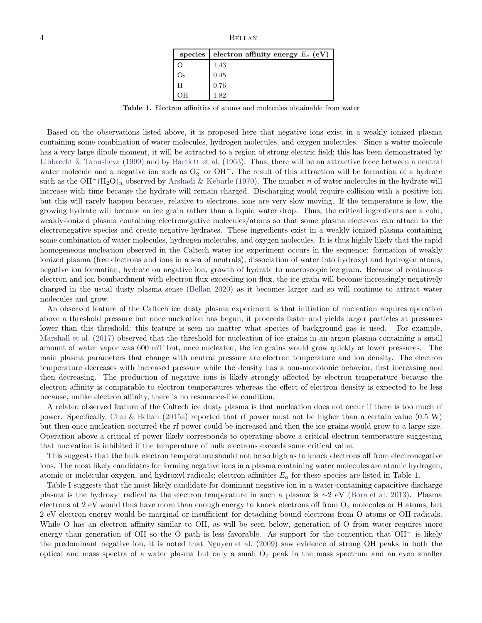| species | electron affinity energy $E_a$ (eV) |
|---------|-------------------------------------|
|         | 1.43                                |
| J2      | 0.45                                |
| H       | 0.76                                |
|         | 1.82                                |

Table 1. Electron affinities of atoms and molecules obtainable from water

Based on the observations listed above, it is proposed here that negative ions exist in a weakly ionized plasma containing some combination of water molecules, hydrogen molecules, and oxygen molecules. Since a water molecule has a very large dipole moment, it will be attracted to a region of strong electric field; this has been demonstrated by [Libbrecht & Tanusheva](#page-7-24) [\(1999\)](#page-7-24) and by [Bartlett et al.](#page-7-25) [\(1963](#page-7-25)). Thus, there will be an attractive force between a neutral water molecule and a negative ion such as  $O_2^-$  or OH<sup>-</sup>. The result of this attraction will be formation of a hydrate such as the  $OH^-(H_2O)_n$  observed by [Arshadi & Kebarle](#page-7-18) [\(1970](#page-7-18)). The number n of water molecules in the hydrate will increase with time because the hydrate will remain charged. Discharging would require collision with a positive ion but this will rarely happen because, relative to electrons, ions are very slow moving. If the temperature is low, the growing hydrate will become an ice grain rather than a liquid water drop. Thus, the critical ingredients are a cold, weakly-ionized plasma containing electronegative molecules/atoms so that some plasma electrons can attach to the electronegative species and create negative hydrates. These ingredients exist in a weakly ionized plasma containing some combination of water molecules, hydrogen molecules, and oxygen molecules. It is thus highly likely that the rapid homogeneous nucleation observed in the Caltech water ice experiment occurs in the sequence: formation of weakly ionized plasma (free electrons and ions in a sea of neutrals), dissociation of water into hydroxyl and hydrogen atoms, negative ion formation, hydrate on negative ion, growth of hydrate to macroscopic ice grain. Because of continuous electron and ion bombardment with electron flux exceeding ion flux, the ice grain will become increasingly negatively charged in the usual dusty plasma sense [\(Bellan 2020\)](#page-7-26) as it becomes larger and so will continue to attract water molecules and grow.

An observed feature of the Caltech ice dusty plasma experiment is that initiation of nucleation requires operation above a threshold pressure but once nucleation has begun, it proceeds faster and yields larger particles at pressures lower than this threshold; this feature is seen no matter what species of background gas is used. For example, [Marshall et al.](#page-7-11) [\(2017\)](#page-7-11) observed that the threshold for nucleation of ice grains in an argon plasma containing a small amount of water vapor was 600 mT but, once nucleated, the ice grains would grow quickly at lower pressures. The main plasma parameters that change with neutral pressure are electron temperature and ion density. The electron temperature decreases with increased pressure while the density has a non-monotonic behavior, first increasing and then decreasing. The production of negative ions is likely strongly affected by electron temperature because the electron affinity is comparable to electron temperatures whereas the effect of electron density is expected to be less because, unlike electron affinity, there is no resonance-like condition.

A related observed feature of the Caltech ice dusty plasma is that nucleation does not occur if there is too much rf power. Specifically, [Chai & Bellan](#page-7-9) [\(2015a](#page-7-9)) reported that rf power must not be higher than a certain value (0.5 W) but then once nucleation occurred the rf power could be increased and then the ice grains would grow to a large size. Operation above a critical rf power likely corresponds to operating above a critical electron temperature suggesting that nucleation is inhibited if the temperature of bulk electrons exceeds some critical value.

This suggests that the bulk electron temperature should not be so high as to knock electrons off from electronegative ions. The most likely candidates for forming negative ions in a plasma containing water molecules are atomic hydrogen, atomic or molecular oxygen, and hydroxyl radicals; electron affinities  $E_a$  for these species are listed in Table 1.

Table I suggests that the most likely candidate for dominant negative ion in a water-containing capacitive discharge plasma is the hydroxyl radical as the electron temperature in such a plasma is ∼2 eV [\(Bora et al. 2013\)](#page-7-27). Plasma electrons at  $2$  eV would thus have more than enough energy to knock electrons off from  $O_2$  molecules or H atoms, but 2 eV electron energy would be marginal or insufficient for detaching bound electrons from O atoms or OH radicals. While O has an electron affinity similar to OH, as will be seen below, generation of O from water requires more energy than generation of OH so the O path is less favorable. As support for the contention that OH<sup>−</sup> is likely the predominant negative ion, it is noted that [Nguyen et al.](#page-7-13) [\(2009](#page-7-13)) saw evidence of strong OH peaks in both the optical and mass spectra of a water plasma but only a small  $O<sub>2</sub>$  peak in the mass spectrum and an even smaller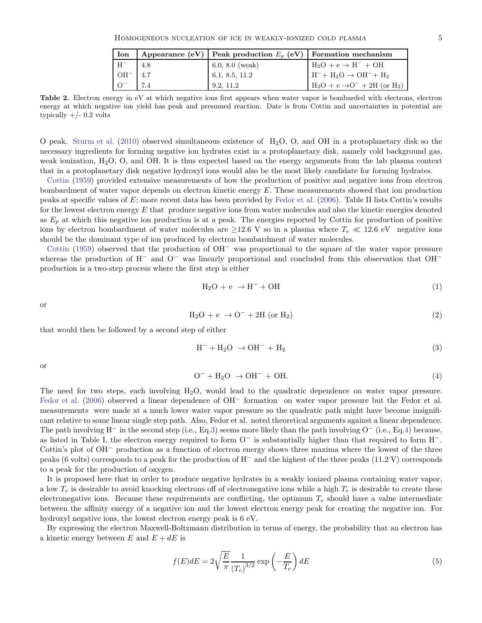| Ion                              |      | Appearance (eV) Peak production $E_n$ (eV) Formation mechanism |                                             |
|----------------------------------|------|----------------------------------------------------------------|---------------------------------------------|
| . $\rm{H}^{-}$                   | -4.8 | $6.0, 8.0 \; (weak)$                                           | $H_2O + e \rightarrow H^- + OH$             |
| $\overline{\text{OH}^{-}}$   4.7 |      | 6.1, 8.5, 11.2                                                 | $H^- + H_2O \rightarrow OH^- + H_2$         |
|                                  |      | 9.2, 11.2                                                      | $H_2O + e \rightarrow O^- + 2H$ (or $H_2$ ) |

Table 2. Electron energy in eV at which negative ions first appears when water vapor is bombarded with electrons, electron energy at which negative ion yield has peak and presumed reaction. Date is from Cottin and uncertainties in potential are typically  $+/- 0.2$  volts

O peak. [Sturm et al.](#page-8-13) [\(2010](#page-8-13)) observed simultaneous existence of  $H_2O$ , O, and OH in a protoplanetary disk so the necessary ingredients for forming negative ion hydrates exist in a protoplanetary disk, namely cold background gas, weak ionization, H2O, O, and OH. It is thus expected based on the energy arguments from the lab plasma context that in a protoplanetary disk negative hydroxyl ions would also be the most likely candidate for forming hydrates.

[Cottin](#page-7-28) [\(1959\)](#page-7-28) provided extensive measurements of how the production of positive and negative ions from electron bombardment of water vapor depends on electron kinetic energy  $E$ . These measurements showed that ion production peaks at specific values of  $E$ ; more recent data has been provided by [Fedor et al.](#page-7-29) [\(2006\)](#page-7-29). Table II lists Cottin's results for the lowest electron energy  $E$  that produce negative ions from water molecules and also the kinetic energies denoted as  $E_p$  at which this negative ion production is at a peak. The energies reported by Cottin for production of positive ions by electron bombardment of water molecules are  $\geq$ 12.6 V so in a plasma where  $T_e \ll 12.6$  eV negative ions should be the dominant type of ion produced by electron bombardment of water molecules.

[Cottin](#page-7-28) [\(1959](#page-7-28)) observed that the production of OH<sup>−</sup> was proportional to the square of the water vapor pressure whereas the production of H<sup>−</sup> and O<sup>−</sup> was linearly proportional and concluded from this observation that OH<sup>−</sup> production is a two-step process where the first step is either

$$
H_2O + e \rightarrow H^- + OH \tag{1}
$$

or

$$
H_2O + e \rightarrow O^- + 2H \text{ (or } H_2)
$$
 (2)

that would then be followed by a second step of either

<span id="page-4-0"></span>
$$
H^- + H_2O \rightarrow OH^- + H_2 \tag{3}
$$

or

<span id="page-4-1"></span>
$$
O^- + H_2O \rightarrow OH^- + OH. \tag{4}
$$

The need for two steps, each involving  $H_2O$ , would lead to the quadratic dependence on water vapor pressure. [Fedor et al.](#page-7-29) [\(2006\)](#page-7-29) observed a linear dependence of OH<sup>−</sup> formation on water vapor pressure but the Fedor et al. measurements were made at a much lower water vapor pressure so the quadratic path might have become insignificant relative to some linear single step path. Also, Fedor et al. noted theoretical arguments against a linear dependence. The path involving H<sup>−</sup> in the second step (i.e., Eq[.3\)](#page-4-0) seems more likely than the path involving  $O^-(i.e., Eq.4)$  $O^-(i.e., Eq.4)$  because, as listed in Table I, the electron energy required to form O<sup>−</sup> is substantially higher than that required to form H<sup>−</sup>. Cottin's plot of OH<sup>−</sup> production as a function of electron energy shows three maxima where the lowest of the three peaks (6 volts) corresponds to a peak for the production of H<sup>−</sup> and the highest of the three peaks (11.2 V) corresponds to a peak for the production of oxygen.

It is proposed here that in order to produce negative hydrates in a weakly ionized plasma containing water vapor, a low  $T_e$  is desirable to avoid knocking electrons off of electronegative ions while a high  $T_e$  is desirable to create these electronegative ions. Because these requirements are conflicting, the optimum  $T_e$  should have a value intermediate between the affinity energy of a negative ion and the lowest electron energy peak for creating the negative ion. For hydroxyl negative ions, the lowest electron energy peak is 6 eV.

By expressing the electron Maxwell-Boltzmann distribution in terms of energy, the probability that an electron has a kinetic energy between E and  $E + dE$  is

<span id="page-4-2"></span>
$$
f(E)dE = 2\sqrt{\frac{E}{\pi}} \frac{1}{\left(T_e\right)^{3/2}} \exp\left(-\frac{E}{T_e}\right) dE \tag{5}
$$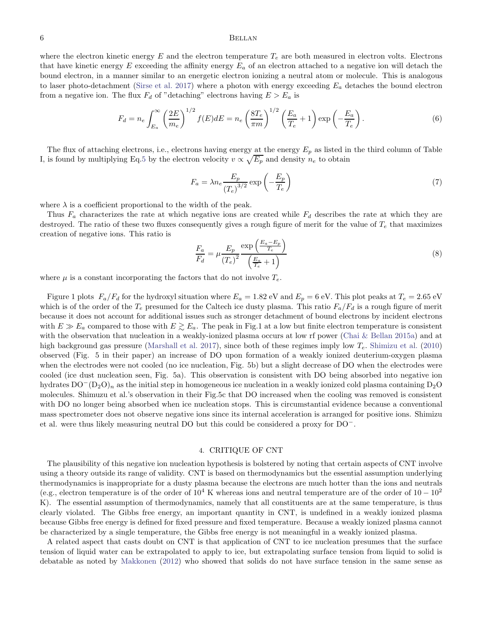## 6 BELLAN

where the electron kinetic energy  $E$  and the electron temperature  $T_e$  are both measured in electron volts. Electrons that have kinetic energy E exceeding the affinity energy  $E_a$  of an electron attached to a negative ion will detach the bound electron, in a manner similar to an energetic electron ionizing a neutral atom or molecule. This is analogous to laser photo-detachment [\(Sirse et al. 2017\)](#page-8-12) where a photon with energy exceeding  $E_a$  detaches the bound electron from a negative ion. The flux  $F_d$  of "detaching" electrons having  $E > E_a$  is

$$
F_d = n_e \int_{E_a}^{\infty} \left(\frac{2E}{m_e}\right)^{1/2} f(E) dE = n_e \left(\frac{8T_e}{\pi m}\right)^{1/2} \left(\frac{E_a}{T_e} + 1\right) \exp\left(-\frac{E_a}{T_e}\right). \tag{6}
$$

The flux of attaching electrons, i.e., electrons having energy at the energy  $E_p$  as listed in the third column of Table I, is found by multiplying Eq[.5](#page-4-2) by the electron velocity  $v \propto \sqrt{E_p}$  and density  $n_e$  to obtain

$$
F_a = \lambda n_e \frac{E_p}{(T_e)^{3/2}} \exp\left(-\frac{E_p}{T_e}\right) \tag{7}
$$

where  $\lambda$  is a coefficient proportional to the width of the peak.

Thus  $F_a$  characterizes the rate at which negative ions are created while  $F_d$  describes the rate at which they are destroyed. The ratio of these two fluxes consequently gives a rough figure of merit for the value of  $T_e$  that maximizes creation of negative ions. This ratio is

$$
\frac{F_a}{F_d} = \mu \frac{E_p}{(T_e)^2} \frac{\exp\left(\frac{E_a - E_p}{T_e}\right)}{\left(\frac{E_a}{T_e} + 1\right)}\tag{8}
$$

where  $\mu$  is a constant incorporating the factors that do not involve  $T_e$ .

Figure 1 plots  $F_a/F_d$  for the hydroxyl situation where  $E_a = 1.82 \text{ eV}$  and  $E_p = 6 \text{ eV}$ . This plot peaks at  $T_e = 2.65 \text{ eV}$ which is of the order of the  $T_e$  presumed for the Caltech ice dusty plasma. This ratio  $F_a/F_d$  is a rough figure of merit because it does not account for additional issues such as stronger detachment of bound electrons by incident electrons with  $E \gg E_a$  compared to those with  $E \gtrsim E_a$ . The peak in Fig.1 at a low but finite electron temperature is consistent with the observation that nucleation in a weakly-ionized plasma occurs at low rf power [\(Chai & Bellan 2015a\)](#page-7-9) and at high background gas pressure [\(Marshall et al. 2017\)](#page-7-11), since both of these regimes imply low  $T_e$ . [Shimizu et al.](#page-8-8) [\(2010](#page-8-8)) observed (Fig. 5 in their paper) an increase of DO upon formation of a weakly ionized deuterium-oxygen plasma when the electrodes were not cooled (no ice nucleation, Fig. 5b) but a slight decrease of DO when the electrodes were cooled (ice dust nucleation seen, Fig. 5a). This observation is consistent with DO being absorbed into negative ion hydrates  $DO-(D_2O)_n$  as the initial step in homogeneous ice nucleation in a weakly ionized cold plasma containing D<sub>2</sub>O molecules. Shimuzu et al.'s observation in their Fig.5c that DO increased when the cooling was removed is consistent with DO no longer being absorbed when ice nucleation stops. This is circumstantial evidence because a conventional mass spectrometer does not observe negative ions since its internal acceleration is arranged for positive ions. Shimizu et al. were thus likely measuring neutral DO but this could be considered a proxy for DO−.

### 4. CRITIQUE OF CNT

The plausibility of this negative ion nucleation hypothesis is bolstered by noting that certain aspects of CNT involve using a theory outside its range of validity. CNT is based on thermodynamics but the essential assumption underlying thermodynamics is inappropriate for a dusty plasma because the electrons are much hotter than the ions and neutrals (e.g., electron temperature is of the order of  $10^4$  K whereas ions and neutral temperature are of the order of  $10-10^2$ K). The essential assumption of thermodynamics, namely that all constituents are at the same temperature, is thus clearly violated. The Gibbs free energy, an important quantity in CNT, is undefined in a weakly ionized plasma because Gibbs free energy is defined for fixed pressure and fixed temperature. Because a weakly ionized plasma cannot be characterized by a single temperature, the Gibbs free energy is not meaningful in a weakly ionized plasma.

A related aspect that casts doubt on CNT is that application of CNT to ice nucleation presumes that the surface tension of liquid water can be extrapolated to apply to ice, but extrapolating surface tension from liquid to solid is debatable as noted by [Makkonen](#page-7-30) [\(2012\)](#page-7-30) who showed that solids do not have surface tension in the same sense as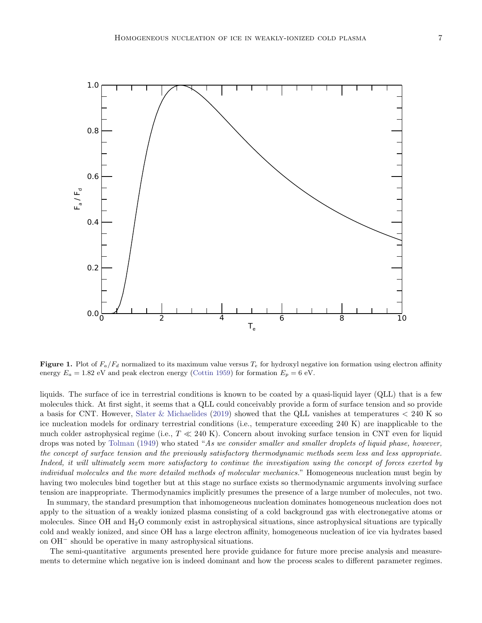

**Figure 1.** Plot of  $F_a/F_d$  normalized to its maximum value versus  $T_e$  for hydroxyl negative ion formation using electron affinity energy  $E_a = 1.82$  eV and peak electron energy [\(Cottin 1959\)](#page-7-28) for formation  $E_p = 6$  eV.

liquids. The surface of ice in terrestrial conditions is known to be coated by a quasi-liquid layer (QLL) that is a few molecules thick. At first sight, it seems that a QLL could conceivably provide a form of surface tension and so provide a basis for CNT. However, [Slater & Michaelides](#page-8-14) [\(2019\)](#page-8-14) showed that the QLL vanishes at temperatures < 240 K so ice nucleation models for ordinary terrestrial conditions (i.e., temperature exceeding 240 K) are inapplicable to the much colder astrophysical regime (i.e.,  $T \ll 240 \text{ K}$ ). Concern about invoking surface tension in CNT even for liquid drops was noted by [Tolman](#page-8-15) [\(1949\)](#page-8-15) who stated "As we consider smaller and smaller droplets of liquid phase, however, the concept of surface tension and the previously satisfactory thermodynamic methods seem less and less appropriate. Indeed, it will ultimately seem more satisfactory to continue the investigation using the concept of forces exerted by individual molecules and the more detailed methods of molecular mechanics." Homogeneous nucleation must begin by having two molecules bind together but at this stage no surface exists so thermodynamic arguments involving surface tension are inappropriate. Thermodynamics implicitly presumes the presence of a large number of molecules, not two.

In summary, the standard presumption that inhomogeneous nucleation dominates homogeneous nucleation does not apply to the situation of a weakly ionized plasma consisting of a cold background gas with electronegative atoms or molecules. Since OH and H<sub>2</sub>O commonly exist in astrophysical situations, since astrophysical situations are typically cold and weakly ionized, and since OH has a large electron affinity, homogeneous nucleation of ice via hydrates based on OH<sup>−</sup> should be operative in many astrophysical situations.

The semi-quantitative arguments presented here provide guidance for future more precise analysis and measurements to determine which negative ion is indeed dominant and how the process scales to different parameter regimes.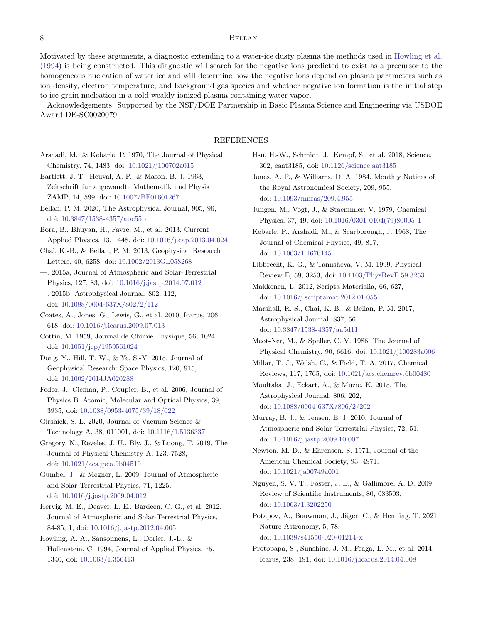# 8 BELLAN

Motivated by these arguments, a diagnostic extending to a water-ice dusty plasma the methods used in [Howling et al.](#page-7-14) [\(1994\)](#page-7-14) is being constructed. This diagnostic will search for the negative ions predicted to exist as a precursor to the homogeneous nucleation of water ice and will determine how the negative ions depend on plasma parameters such as ion density, electron temperature, and background gas species and whether negative ion formation is the initial step to ice grain nucleation in a cold weakly-ionized plasma containing water vapor.

Acknowledgements: Supported by the NSF/DOE Partnership in Basic Plasma Science and Engineering via USDOE Award DE-SC0020079.

### REFERENCES

- <span id="page-7-18"></span>Arshadi, M., & Kebarle, P. 1970, The Journal of Physical Chemistry, 74, 1483, doi: [10.1021/j100702a015](http://doi.org/10.1021/j100702a015)
- <span id="page-7-25"></span>Bartlett, J. T., Heuval, A. P., & Mason, B. J. 1963, Zeitschrift fur angewandte Mathematik und Physik ZAMP, 14, 599, doi: [10.1007/BF01601267](http://doi.org/10.1007/BF01601267)
- <span id="page-7-26"></span>Bellan, P. M. 2020, The Astrophysical Journal, 905, 96, doi: [10.3847/1538-4357/abc55b](http://doi.org/10.3847/1538-4357/abc55b)
- <span id="page-7-27"></span>Bora, B., Bhuyan, H., Favre, M., et al. 2013, Current Applied Physics, 13, 1448, doi: [10.1016/j.cap.2013.04.024](http://doi.org/10.1016/j.cap.2013.04.024)
- <span id="page-7-8"></span>Chai, K.-B., & Bellan, P. M. 2013, Geophysical Research Letters, 40, 6258, doi: [10.1002/2013GL058268](http://doi.org/10.1002/2013GL058268)
- <span id="page-7-9"></span>—. 2015a, Journal of Atmospheric and Solar-Terrestrial Physics, 127, 83, doi: [10.1016/j.jastp.2014.07.012](http://doi.org/10.1016/j.jastp.2014.07.012)
- <span id="page-7-10"></span>—. 2015b, Astrophysical Journal, 802, 112, doi: [10.1088/0004-637X/802/2/112](http://doi.org/10.1088/0004-637X/802/2/112)
- <span id="page-7-17"></span>Coates, A., Jones, G., Lewis, G., et al. 2010, Icarus, 206, 618, doi: [10.1016/j.icarus.2009.07.013](http://doi.org/10.1016/j.icarus.2009.07.013)
- <span id="page-7-28"></span>Cottin, M. 1959, Journal de Chimie Physique, 56, 1024, doi: [10.1051/jcp/1959561024](http://doi.org/10.1051/jcp/1959561024)
- <span id="page-7-1"></span>Dong, Y., Hill, T. W., & Ye, S.-Y. 2015, Journal of Geophysical Research: Space Physics, 120, 915, doi: [10.1002/2014JA020288](http://doi.org/10.1002/2014JA020288)
- <span id="page-7-29"></span>Fedor, J., Cicman, P., Coupier, B., et al. 2006, Journal of Physics B: Atomic, Molecular and Optical Physics, 39, 3935, doi: [10.1088/0953-4075/39/18/022](http://doi.org/10.1088/0953-4075/39/18/022)
- <span id="page-7-15"></span>Girshick, S. L. 2020, Journal of Vacuum Science & Technology A, 38, 011001, doi: [10.1116/1.5136337](http://doi.org/10.1116/1.5136337)
- <span id="page-7-22"></span>Gregory, N., Reveles, J. U., Bly, J., & Luong, T. 2019, The Journal of Physical Chemistry A, 123, 7528, doi: [10.1021/acs.jpca.9b04510](http://doi.org/10.1021/acs.jpca.9b04510)
- <span id="page-7-3"></span>Gumbel, J., & Megner, L. 2009, Journal of Atmospheric and Solar-Terrestrial Physics, 71, 1225, doi: [10.1016/j.jastp.2009.04.012](http://doi.org/10.1016/j.jastp.2009.04.012)
- <span id="page-7-12"></span>Hervig, M. E., Deaver, L. E., Bardeen, C. G., et al. 2012, Journal of Atmospheric and Solar-Terrestrial Physics, 84-85, 1, doi: [10.1016/j.jastp.2012.04.005](http://doi.org/10.1016/j.jastp.2012.04.005)
- <span id="page-7-14"></span>Howling, A. A., Sansonnens, L., Dorier, J.-L., & Hollenstein, C. 1994, Journal of Applied Physics, 75, 1340, doi: [10.1063/1.356413](http://doi.org/10.1063/1.356413)
- <span id="page-7-5"></span>Hsu, H.-W., Schmidt, J., Kempf, S., et al. 2018, Science, 362, eaat3185, doi: [10.1126/science.aat3185](http://doi.org/10.1126/science.aat3185)
- <span id="page-7-4"></span>Jones, A. P., & Williams, D. A. 1984, Monthly Notices of the Royal Astronomical Society, 209, 955, doi: [10.1093/mnras/209.4.955](http://doi.org/10.1093/mnras/209.4.955)
- <span id="page-7-23"></span>Jungen, M., Vogt, J., & Staemmler, V. 1979, Chemical Physics, 37, 49, doi: [10.1016/0301-0104\(79\)80005-1](http://doi.org/10.1016/0301-0104(79)80005-1)
- <span id="page-7-19"></span>Kebarle, P., Arshadi, M., & Scarborough, J. 1968, The Journal of Chemical Physics, 49, 817, doi: [10.1063/1.1670145](http://doi.org/10.1063/1.1670145)
- <span id="page-7-24"></span>Libbrecht, K. G., & Tanusheva, V. M. 1999, Physical Review E, 59, 3253, doi: [10.1103/PhysRevE.59.3253](http://doi.org/10.1103/PhysRevE.59.3253)
- <span id="page-7-30"></span>Makkonen, L. 2012, Scripta Materialia, 66, 627, doi: [10.1016/j.scriptamat.2012.01.055](http://doi.org/10.1016/j.scriptamat.2012.01.055)
- <span id="page-7-11"></span>Marshall, R. S., Chai, K.-B., & Bellan, P. M. 2017, Astrophysical Journal, 837, 56, doi: [10.3847/1538-4357/aa5d11](http://doi.org/10.3847/1538-4357/aa5d11)
- <span id="page-7-20"></span>Meot-Ner, M., & Speller, C. V. 1986, The Journal of Physical Chemistry, 90, 6616, doi: [10.1021/j100283a006](http://doi.org/10.1021/j100283a006)
- <span id="page-7-16"></span>Millar, T. J., Walsh, C., & Field, T. A. 2017, Chemical Reviews, 117, 1765, doi: [10.1021/acs.chemrev.6b00480](http://doi.org/10.1021/acs.chemrev.6b00480)
- <span id="page-7-2"></span>Moultaka, J., Eckart, A., & Muzic, K. 2015, The Astrophysical Journal, 806, 202, doi: [10.1088/0004-637X/806/2/202](http://doi.org/10.1088/0004-637X/806/2/202)
- <span id="page-7-7"></span>Murray, B. J., & Jensen, E. J. 2010, Journal of Atmospheric and Solar-Terrestrial Physics, 72, 51, doi: [10.1016/j.jastp.2009.10.007](http://doi.org/10.1016/j.jastp.2009.10.007)
- <span id="page-7-21"></span>Newton, M. D., & Ehrenson, S. 1971, Journal of the American Chemical Society, 93, 4971, doi: [10.1021/ja00749a001](http://doi.org/10.1021/ja00749a001)
- <span id="page-7-13"></span>Nguyen, S. V. T., Foster, J. E., & Gallimore, A. D. 2009, Review of Scientific Instruments, 80, 083503, doi: [10.1063/1.3202250](http://doi.org/10.1063/1.3202250)
- <span id="page-7-6"></span>Potapov, A., Bouwman, J., Jäger, C., & Henning, T. 2021, Nature Astronomy, 5, 78, doi: [10.1038/s41550-020-01214-x](http://doi.org/10.1038/s41550-020-01214-x)
- <span id="page-7-0"></span>Protopapa, S., Sunshine, J. M., Feaga, L. M., et al. 2014, Icarus, 238, 191, doi: [10.1016/j.icarus.2014.04.008](http://doi.org/10.1016/j.icarus.2014.04.008)